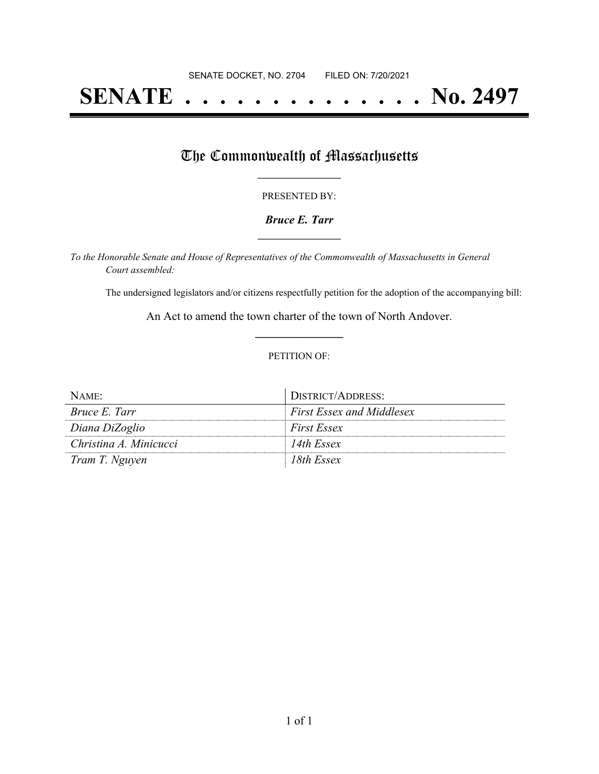# **SENATE . . . . . . . . . . . . . . No. 2497**

### The Commonwealth of Massachusetts

#### PRESENTED BY:

#### *Bruce E. Tarr* **\_\_\_\_\_\_\_\_\_\_\_\_\_\_\_\_\_**

*To the Honorable Senate and House of Representatives of the Commonwealth of Massachusetts in General Court assembled:*

The undersigned legislators and/or citizens respectfully petition for the adoption of the accompanying bill:

An Act to amend the town charter of the town of North Andover. **\_\_\_\_\_\_\_\_\_\_\_\_\_\_\_**

#### PETITION OF:

| NAME:                  | DISTRICT/ADDRESS:                |
|------------------------|----------------------------------|
| <i>Bruce E. Tarr</i>   | <b>First Essex and Middlesex</b> |
| Diana DiZoglio         | <b>First Essex</b>               |
| Christina A. Minicucci | 14th Essex                       |
| Tram T. Nguyen         | 18th Essex                       |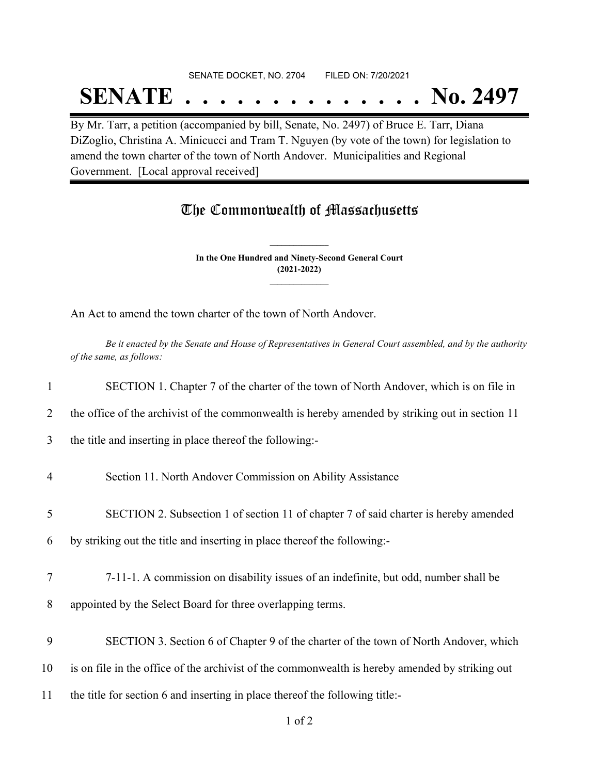## SENATE DOCKET, NO. 2704 FILED ON: 7/20/2021

# **SENATE . . . . . . . . . . . . . . No. 2497**

By Mr. Tarr, a petition (accompanied by bill, Senate, No. 2497) of Bruce E. Tarr, Diana DiZoglio, Christina A. Minicucci and Tram T. Nguyen (by vote of the town) for legislation to amend the town charter of the town of North Andover. Municipalities and Regional Government. [Local approval received]

### The Commonwealth of Massachusetts

**In the One Hundred and Ninety-Second General Court (2021-2022) \_\_\_\_\_\_\_\_\_\_\_\_\_\_\_**

**\_\_\_\_\_\_\_\_\_\_\_\_\_\_\_**

An Act to amend the town charter of the town of North Andover.

Be it enacted by the Senate and House of Representatives in General Court assembled, and by the authority *of the same, as follows:*

| $\mathbf{1}$   | SECTION 1. Chapter 7 of the charter of the town of North Andover, which is on file in           |
|----------------|-------------------------------------------------------------------------------------------------|
| 2              | the office of the archivist of the commonwealth is hereby amended by striking out in section 11 |
| 3              | the title and inserting in place thereof the following:-                                        |
| $\overline{4}$ | Section 11. North Andover Commission on Ability Assistance                                      |
| 5              | SECTION 2. Subsection 1 of section 11 of chapter 7 of said charter is hereby amended            |
| 6              | by striking out the title and inserting in place thereof the following:-                        |
| 7              | 7-11-1. A commission on disability issues of an indefinite, but odd, number shall be            |
| 8              | appointed by the Select Board for three overlapping terms.                                      |
| 9              | SECTION 3. Section 6 of Chapter 9 of the charter of the town of North Andover, which            |
| 10             | is on file in the office of the archivist of the commonwealth is hereby amended by striking out |
| 11             | the title for section 6 and inserting in place thereof the following title:-                    |
|                |                                                                                                 |